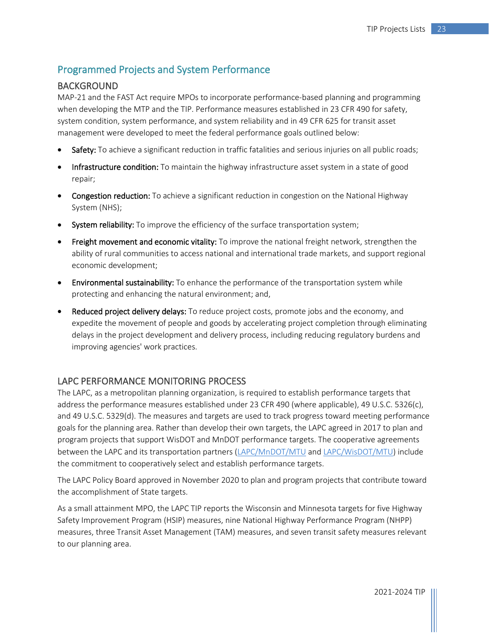# Programmed Projects and System Performance

# BACKGROUND

MAP-21 and the FAST Act require MPOs to incorporate performance-based planning and programming when developing the MTP and the TIP. Performance measures established in 23 CFR 490 for safety, system condition, system performance, and system reliability and in 49 CFR 625 for transit asset management were developed to meet the federal performance goals outlined below:

- Safety: To achieve a significant reduction in traffic fatalities and serious injuries on all public roads;
- Infrastructure condition: To maintain the highway infrastructure asset system in a state of good repair;
- Congestion reduction: To achieve a significant reduction in congestion on the National Highway System (NHS);
- System reliability: To improve the efficiency of the surface transportation system;
- Freight movement and economic vitality: To improve the national freight network, strengthen the ability of rural communities to access national and international trade markets, and support regional economic development;
- Environmental sustainability: To enhance the performance of the transportation system while protecting and enhancing the natural environment; and,
- Reduced project delivery delays: To reduce project costs, promote jobs and the economy, and expedite the movement of people and goods by accelerating project completion through eliminating delays in the project development and delivery process, including reducing regulatory burdens and improving agencies' work practices.

# LAPC PERFORMANCE MONITORING PROCESS

The LAPC, as a metropolitan planning organization, is required to establish performance targets that address the performance measures established under 23 CFR 490 (where applicable), 49 U.S.C. 5326(c), and 49 U.S.C. 5329(d). The measures and targets are used to track progress toward meeting performance goals for the planning area. Rather than develop their own targets, the LAPC agreed in 2017 to plan and program projects that support WisDOT and MnDOT performance targets. The cooperative agreements between the LAPC and its transportation partners [\(LAPC/MnDOT/MTU](http://www.lapc.org/Content/Agreements/LAPC%20Transit%20MnDOT%20Performance%20Planning%20MOU%202017.pdf) and [LAPC/WisDOT/MTU\)](http://www.lapc.org/Content/Agreements/LAPC%20MPO%20Signed%20Coop%20Agreement%205-8-2017.pdf) include the commitment to cooperatively select and establish performance targets.

The LAPC Policy Board approved in November 2020 to plan and program projects that contribute toward the accomplishment of State targets.

As a small attainment MPO, the LAPC TIP reports the Wisconsin and Minnesota targets for five Highway Safety Improvement Program (HSIP) measures, nine National Highway Performance Program (NHPP) measures, three Transit Asset Management (TAM) measures, and seven transit safety measures relevant to our planning area.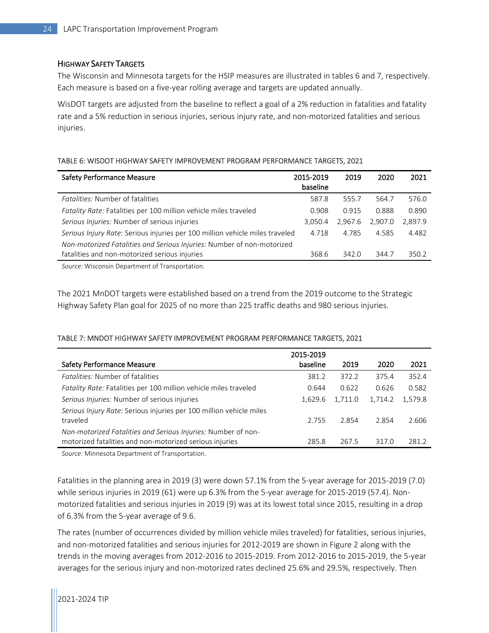#### HIGHWAY SAFETY TARGETS

The Wisconsin and Minnesota targets for the HSIP measures are illustrated in tables 6 and 7, respectively. Each measure is based on a five-year rolling average and targets are updated annually.

WisDOT targets are adjusted from the baseline to reflect a goal of a 2% reduction in fatalities and fatality rate and a 5% reduction in serious injuries, serious injury rate, and non-motorized fatalities and serious injuries.

#### TABLE 6: WISDOT HIGHWAY SAFETY IMPROVEMENT PROGRAM PERFORMANCE TARGETS, 2021

| <b>Safety Performance Measure</b>                                            | 2015-2019<br>baseline | 2019    | 2020    | 2021    |
|------------------------------------------------------------------------------|-----------------------|---------|---------|---------|
| <i><b>Fatalities: Number of fatalities</b></i>                               | 587.8                 | 555.7   | 564.7   | 576.0   |
| Fatality Rate: Fatalities per 100 million vehicle miles traveled             | 0.908                 | 0.915   | 0.888   | 0.890   |
| Serious Injuries: Number of serious injuries                                 | 3.050.4               | 2.967.6 | 2.907.0 | 2.897.9 |
| Serious Injury Rate: Serious injuries per 100 million vehicle miles traveled | 4.718                 | 4.785   | 4.585   | 4.482   |
| Non-motorized Fatalities and Serious Injuries: Number of non-motorized       |                       |         |         |         |
| fatalities and non-motorized serious injuries                                | 368.6                 | 342.0   | 344.7   | 350.2   |
|                                                                              |                       |         |         |         |

*Source:* Wisconsin Department of Transportation.

The 2021 MnDOT targets were established based on a trend from the 2019 outcome to the Strategic Highway Safety Plan goal for 2025 of no more than 225 traffic deaths and 980 serious injuries.

#### TABLE 7: MNDOT HIGHWAY SAFETY IMPROVEMENT PROGRAM PERFORMANCE TARGETS, 2021

|                                                                     | 2015-2019 |         |         |         |
|---------------------------------------------------------------------|-----------|---------|---------|---------|
| <b>Safety Performance Measure</b>                                   | baseline  | 2019    | 2020    | 2021    |
| Fatalities: Number of fatalities                                    | 381.2     | 372.2   | 375.4   | 352.4   |
| Fatality Rate: Fatalities per 100 million vehicle miles traveled    | 0.644     | 0.622   | 0.626   | 0.582   |
| Serious Injuries: Number of serious injuries                        | 1.629.6   | 1,711.0 | 1.714.2 | 1.579.8 |
| Serious Injury Rate: Serious injuries per 100 million vehicle miles |           |         |         |         |
| traveled                                                            | 2.755     | 2.854   | 2.854   | 2.606   |
| Non-motorized Fatalities and Serious Injuries: Number of non-       |           |         |         |         |
| motorized fatalities and non-motorized serious injuries             | 285.8     | 267.5   | 317.0   | 281.2   |

*Source:* Minnesota Department of Transportation.

Fatalities in the planning area in 2019 (3) were down 57.1% from the 5-year average for 2015-2019 (7.0) while serious injuries in 2019 (61) were up 6.3% from the 5-year average for 2015-2019 (57.4). Nonmotorized fatalities and serious injuries in 2019 (9) was at its lowest total since 2015, resulting in a drop of 6.3% from the 5-year average of 9.6.

The rates (number of occurrences divided by million vehicle miles traveled) for fatalities, serious injuries, and non-motorized fatalities and serious injuries for 2012-2019 are shown in Figure 2 along with the trends in the moving averages from 2012-2016 to 2015-2019. From 2012-2016 to 2015-2019, the 5-year averages for the serious injury and non-motorized rates declined 25.6% and 29.5%, respectively. Then

2021-2024 TIP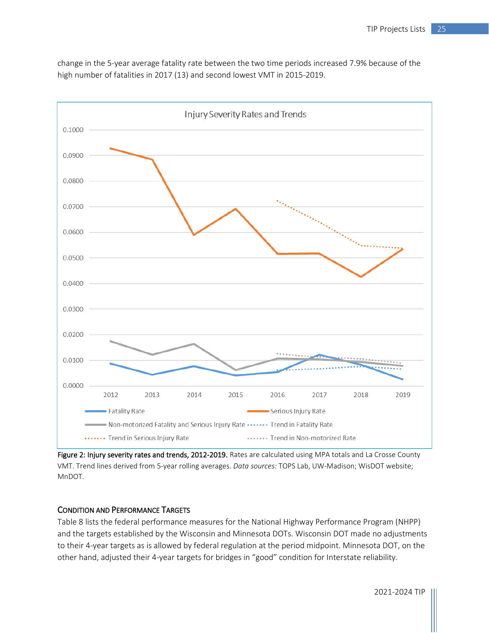Injury Severity Rates and Trends 0.1000 0.0900 0.0800 0.0700 0.0600 0.0500 0.0400 0.0300 0.0200 0.0100 0.0000 2012 2013 2014 2015 2016 2017 2018 2019 - Fatality Rate Serious Injury Rate Non-motorized Fatality and Serious Injury Rate ...... Trend in Fatality Rate ....... Trend in Serious Injury Rate ....... Trend in Non-motorized Rate

change in the 5-year average fatality rate between the two time periods increased 7.9% because of the high number of fatalities in 2017 (13) and second lowest VMT in 2015-2019.

Figure 2: Injury severity rates and trends, 2012-2019. Rates are calculated using MPA totals and La Crosse County VMT. Trend lines derived from 5-year rolling averages. *Data sources:* TOPS Lab, UW-Madison; WisDOT website; MnDOT.

## CONDITION AND PERFORMANCE TARGETS

Table 8 lists the federal performance measures for the National Highway Performance Program (NHPP) and the targets established by the Wisconsin and Minnesota DOTs. Wisconsin DOT made no adjustments to their 4-year targets as is allowed by federal regulation at the period midpoint. Minnesota DOT, on the other hand, adjusted their 4-year targets for bridges in "good" condition for Interstate reliability.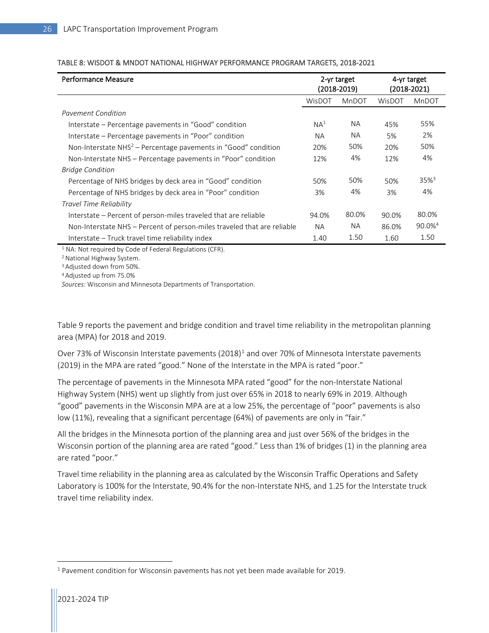| Performance Measure                                                     |                 | 2-yr target<br>$(2018 - 2019)$ | 4-yr target<br>$(2018 - 2021)$ |                       |
|-------------------------------------------------------------------------|-----------------|--------------------------------|--------------------------------|-----------------------|
|                                                                         | WisDOT          | MnDOT                          | WisDOT                         | MnDOT                 |
| Pavement Condition                                                      |                 |                                |                                |                       |
| Interstate – Percentage pavements in "Good" condition                   | NA <sup>1</sup> | NA.                            | 45%                            | 55%                   |
| Interstate – Percentage pavements in "Poor" condition                   | <b>NA</b>       | <b>NA</b>                      | 5%                             | 2%                    |
| Non-Interstate $NHS2$ – Percentage pavements in "Good" condition        | 20%             | 50%                            | 20%                            | 50%                   |
| Non-Interstate NHS – Percentage pavements in "Poor" condition           | 12%             | 4%                             | 12%                            | 4%                    |
| <b>Bridge Condition</b>                                                 |                 |                                |                                |                       |
| Percentage of NHS bridges by deck area in "Good" condition              | 50%             | 50%                            | 50%                            | $35\%$ <sup>3</sup>   |
| Percentage of NHS bridges by deck area in "Poor" condition              | 3%              | 4%                             | 3%                             | 4%                    |
| Travel Time Reliability                                                 |                 |                                |                                |                       |
| Interstate - Percent of person-miles traveled that are reliable         | 94.0%           | 80.0%                          | 90.0%                          | 80.0%                 |
| Non-Interstate NHS – Percent of person-miles traveled that are reliable | <b>NA</b>       | NA.                            | 86.0%                          | $90.0\%$ <sup>4</sup> |
| Interstate – Truck travel time reliability index                        | 1.40            | 1.50                           | 1.60                           | 1.50                  |

#### TABLE 8: WISDOT & MNDOT NATIONAL HIGHWAY PERFORMANCE PROGRAM TARGETS, 2018-2021

<sup>1</sup> NA: Not required by Code of Federal Regulations (CFR).

2 National Highway System.

3 Adjusted down from 50%.

<sup>4</sup> Adjusted up from 75.0%

*Sources:* Wisconsin and Minnesota Departments of Transportation.

Table 9 reports the pavement and bridge condition and travel time reliability in the metropolitan planning area (MPA) for 2018 and 2019.

Over 73% of Wisconsin Interstate pavements  $(2018)^1$  $(2018)^1$  $(2018)^1$  and over 70% of Minnesota Interstate pavements (2019) in the MPA are rated "good." None of the Interstate in the MPA is rated "poor."

The percentage of pavements in the Minnesota MPA rated "good" for the non-Interstate National Highway System (NHS) went up slightly from just over 65% in 2018 to nearly 69% in 2019. Although "good" pavements in the Wisconsin MPA are at a low 25%, the percentage of "poor" pavements is also low (11%), revealing that a significant percentage (64%) of pavements are only in "fair."

All the bridges in the Minnesota portion of the planning area and just over 56% of the bridges in the Wisconsin portion of the planning area are rated "good." Less than 1% of bridges (1) in the planning area are rated "poor."

Travel time reliability in the planning area as calculated by the Wisconsin Traffic Operations and Safety Laboratory is 100% for the Interstate, 90.4% for the non-Interstate NHS, and 1.25 for the Interstate truck travel time reliability index.

<span id="page-3-0"></span><sup>&</sup>lt;sup>1</sup> Pavement condition for Wisconsin pavements has not yet been made available for 2019.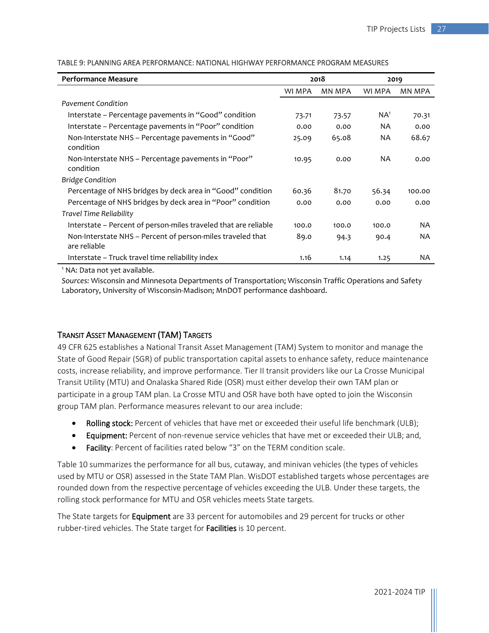| <b>Performance Measure</b>                                                 | 2018   |               | 2019      |           |
|----------------------------------------------------------------------------|--------|---------------|-----------|-----------|
|                                                                            | WI MPA | <b>MN MPA</b> | WI MPA    | MN MPA    |
| <b>Pavement Condition</b>                                                  |        |               |           |           |
| Interstate - Percentage pavements in "Good" condition                      | 73.71  | 73.57         | $NA^1$    | 70.31     |
| Interstate - Percentage pavements in "Poor" condition                      | 0.00   | 0.00          | NA.       | 0.00      |
| Non-Interstate NHS – Percentage pavements in "Good"<br>condition           | 25.09  | 65.08         | <b>NA</b> | 68.67     |
| Non-Interstate NHS - Percentage pavements in "Poor"<br>condition           | 10.95  | 0.00          | NA.       | 0.00      |
| <b>Bridge Condition</b>                                                    |        |               |           |           |
| Percentage of NHS bridges by deck area in "Good" condition                 | 60.36  | 81.70         | 56.34     | 100.00    |
| Percentage of NHS bridges by deck area in "Poor" condition                 | 0.00   | 0.00          | 0.00      | 0.00      |
| Travel Time Reliability                                                    |        |               |           |           |
| Interstate - Percent of person-miles traveled that are reliable            | 100.0  | 100.0         | 100.0     | <b>NA</b> |
| Non-Interstate NHS - Percent of person-miles traveled that<br>are reliable | 89.0   | 94.3          | 90.4      | <b>NA</b> |
| Interstate - Truck travel time reliability index                           | 1.16   | 1.14          | 1.25      | NA        |

TABLE 9: PLANNING AREA PERFORMANCE: NATIONAL HIGHWAY PERFORMANCE PROGRAM MEASURES

<sup>1</sup> NA: Data not yet available.

*Sources:* Wisconsin and Minnesota Departments of Transportation; Wisconsin Traffic Operations and Safety Laboratory, University of Wisconsin-Madison; MnDOT performance dashboard.

## TRANSIT ASSET MANAGEMENT (TAM) TARGETS

49 CFR 625 establishes a National Transit Asset Management (TAM) System to monitor and manage the State of Good Repair (SGR) of public transportation capital assets to enhance safety, reduce maintenance costs, increase reliability, and improve performance. Tier II transit providers like our La Crosse Municipal Transit Utility (MTU) and Onalaska Shared Ride (OSR) must either develop their own TAM plan or participate in a group TAM plan. La Crosse MTU and OSR have both have opted to join the Wisconsin group TAM plan. Performance measures relevant to our area include:

- Rolling stock: Percent of vehicles that have met or exceeded their useful life benchmark (ULB);
- Equipment: Percent of non-revenue service vehicles that have met or exceeded their ULB; and,
- Facility: Percent of facilities rated below "3" on the TERM condition scale.

Table 10 summarizes the performance for all bus, cutaway, and minivan vehicles (the types of vehicles used by MTU or OSR) assessed in the State TAM Plan. WisDOT established targets whose percentages are rounded down from the respective percentage of vehicles exceeding the ULB. Under these targets, the rolling stock performance for MTU and OSR vehicles meets State targets.

The State targets for **Equipment** are 33 percent for automobiles and 29 percent for trucks or other rubber-tired vehicles. The State target for Facilities is 10 percent.